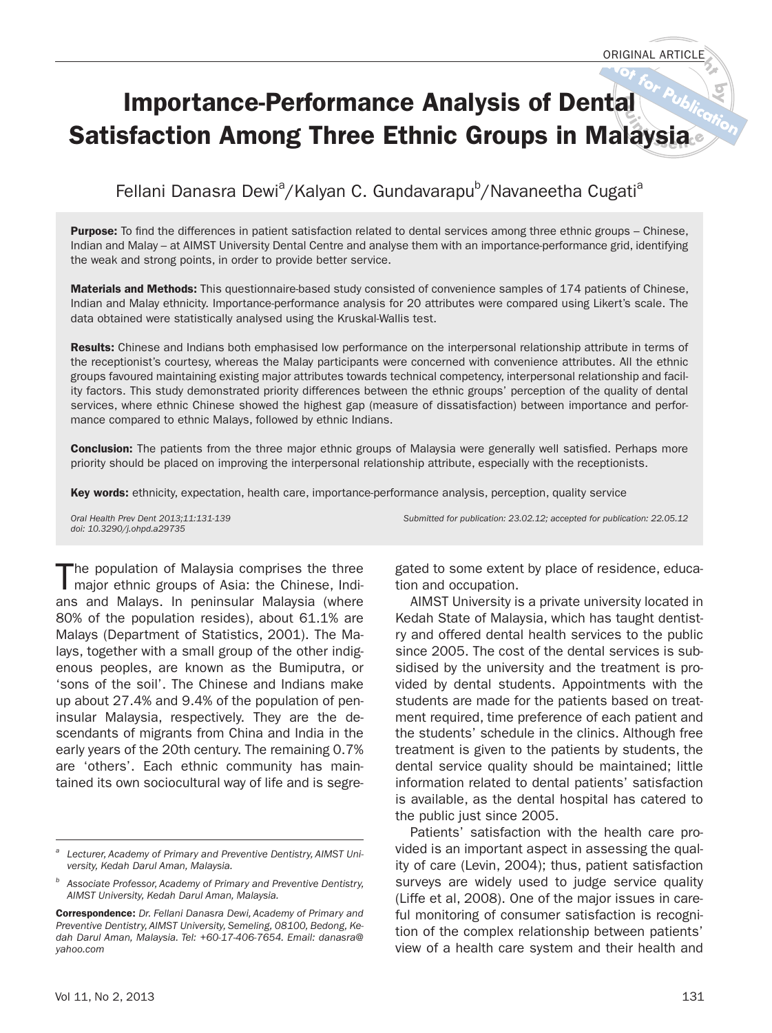# **Importance-Performance Analysis of Dental Satisfaction Among Three Ethnic Groups in Malaysia**

# Fellani Danasra Dewi<sup>a</sup>/Kalyan C. Gundavarapu<sup>b</sup>/Navaneetha Cugati<sup>a</sup>

**Purpose:** To find the differences in patient satisfaction related to dental services among three ethnic groups – Chinese, Indian and Malay – at AIMST University Dental Centre and analyse them with an importance-performance grid, identifying the weak and strong points, in order to provide better service.

**Materials and Methods:** This questionnaire-based study consisted of convenience samples of 174 patients of Chinese, Indian and Malay ethnicity. Importance-performance analysis for 20 attributes were compared using Likert's scale. The data obtained were statistically analysed using the Kruskal-Wallis test.

**Results:** Chinese and Indians both emphasised low performance on the interpersonal relationship attribute in terms of the receptionist's courtesy, whereas the Malay participants were concerned with convenience attributes. All the ethnic groups favoured maintaining existing major attributes towards technical competency, interpersonal relationship and facility factors. This study demonstrated priority differences between the ethnic groups' perception of the quality of dental services, where ethnic Chinese showed the highest gap (measure of dissatisfaction) between importance and performance compared to ethnic Malays, followed by ethnic Indians.

**Conclusion:** The patients from the three major ethnic groups of Malaysia were generally well satisfied. Perhaps more priority should be placed on improving the interpersonal relationship attribute, especially with the receptionists.

**Key words:** ethnicity, expectation, health care, importance-performance analysis, perception, quality service

Oral Health Prev Dent 2013;11:131-139 Submitted for publication: 23.02.12; accepted for publication: 22.05.12 doi: 10.3290/j.ohpd.a29735

The population of Malaysia comprises the three major ethnic groups of Asia: the Chinese, Indians and Malays. In peninsular Malaysia (where 80% of the population resides), about 61.1% are Malays (Department of Statistics, 2001). The Malays, together with a small group of the other indigenous peoples, are known as the Bumiputra, or 'sons of the soil'. The Chinese and Indians make up about 27.4% and 9.4% of the population of peninsular Malaysia, respectively. They are the descendants of migrants from China and India in the early years of the 20th century. The remaining 0.7% are 'others'. Each ethnic community has maintained its own sociocultural way of life and is segre-

gated to some extent by place of residence, education and occupation.

AIMST University is a private university located in Kedah State of Malaysia, which has taught dentistry and offered dental health services to the public since 2005. The cost of the dental services is subsidised by the university and the treatment is provided by dental students. Appointments with the students are made for the patients based on treatment required, time preference of each patient and the students' schedule in the clinics. Although free treatment is given to the patients by students, the dental service quality should be maintained; little information related to dental patients' satisfaction is available, as the dental hospital has catered to the public just since 2005.

Patients' satisfaction with the health care provided is an important aspect in assessing the quality of care (Levin, 2004); thus, patient satisfaction surveys are widely used to judge service quality (Liffe et al, 2008). One of the major issues in careful monitoring of consumer satisfaction is recognition of the complex relationship between patients' view of a health care system and their health and

Lecturer, Academy of Primary and Preventive Dentistry, AIMST University, Kedah Darul Aman, Malaysia.

Associate Professor, Academy of Primary and Preventive Dentistry, AIMST University, Kedah Darul Aman, Malaysia.

**Correspondence:** Dr. Fellani Danasra Dewi, Academy of Primary and Preventive Dentistry, AIMST University, Semeling, 08100, Bedong, Kedah Darul Aman, Malaysia. Tel: +60-17-406-7654. Email: danasra@ yahoo.com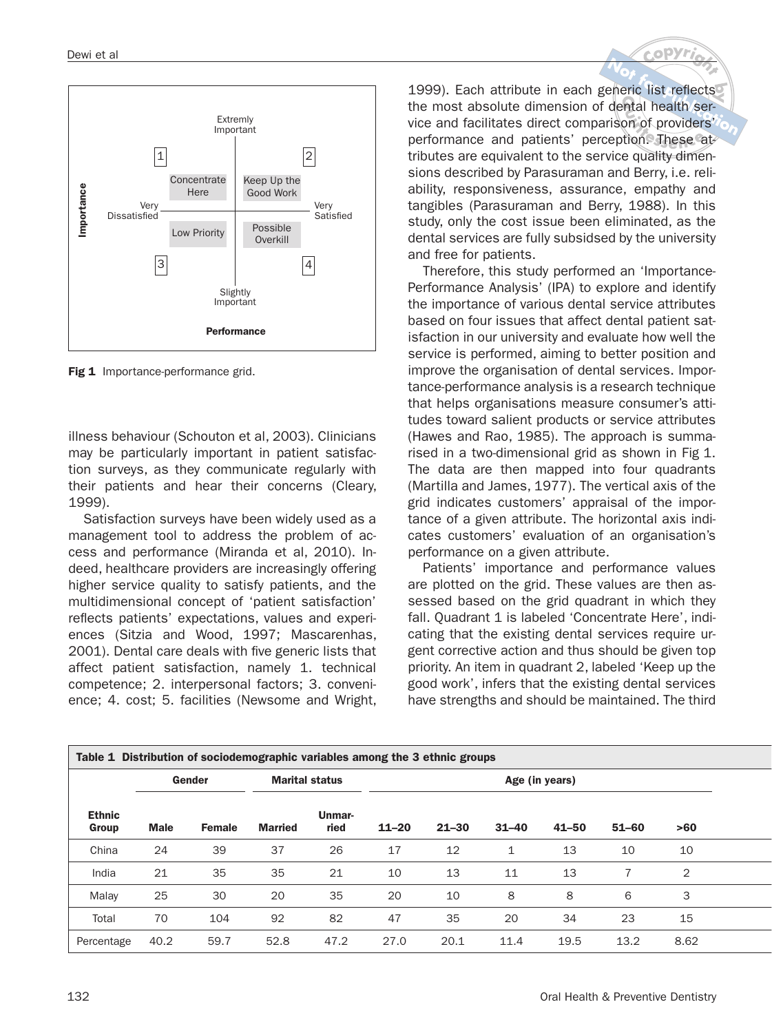

**Fig 1** Importance-performance grid.

illness behaviour (Schouton et al, 2003). Clinicians may be particularly important in patient satisfaction surveys, as they communicate regularly with their patients and hear their concerns (Cleary, 1999).

Satisfaction surveys have been widely used as a management tool to address the problem of access and performance (Miranda et al, 2010). Indeed, healthcare providers are increasingly offering higher service quality to satisfy patients, and the multidimensional concept of 'patient satisfaction' reflects patients' expectations, values and experiences (Sitzia and Wood, 1997; Mascarenhas, 2001). Dental care deals with five generic lists that affect patient satisfaction, namely 1. technical competence; 2. interpersonal factors; 3. convenience; 4. cost; 5. facilities (Newsome and Wright,

1999). Each attribute in each generic list reflects the most absolute dimension of dental health service and facilitates direct comparison of providers' performance and patients' perception. These attributes are equivalent to the service quality dimensions described by Parasuraman and Berry, i.e. reliability, responsiveness, assurance, empathy and tangibles (Parasuraman and Berry, 1988). In this study, only the cost issue been eliminated, as the dental services are fully subsidsed by the university and free for patients.

Therefore, this study performed an 'Importance-Performance Analysis' (IPA) to explore and identify the importance of various dental service attributes based on four issues that affect dental patient satisfaction in our university and evaluate how well the service is performed, aiming to better position and improve the organisation of dental services. Importance-performance analysis is a research technique that helps organisations measure consumer's attitudes toward salient products or service attributes (Hawes and Rao, 1985). The approach is summarised in a two-dimensional grid as shown in Fig 1. The data are then mapped into four quadrants (Martilla and James, 1977). The vertical axis of the grid indicates customers' appraisal of the importance of a given attribute. The horizontal axis indicates customers' evaluation of an organisation's performance on a given attribute.

Patients' importance and performance values are plotted on the grid. These values are then assessed based on the grid quadrant in which they fall. Quadrant 1 is labeled 'Concentrate Here', indicating that the existing dental services require urgent corrective action and thus should be given top priority. An item in quadrant 2, labeled 'Keep up the good work', infers that the existing dental services have strengths and should be maintained. The third

| <b>Ethnic</b><br>Group | Gender      |               | <b>Marital status</b> |                | Table 1 Distribution of sociodemographic variables among the 3 ethnic groups<br>Age (in years) |           |              |           |           |                |  |
|------------------------|-------------|---------------|-----------------------|----------------|------------------------------------------------------------------------------------------------|-----------|--------------|-----------|-----------|----------------|--|
|                        | <b>Male</b> | <b>Female</b> | <b>Married</b>        | Unmar-<br>ried | $11 - 20$                                                                                      | $21 - 30$ | $31 - 40$    | $41 - 50$ | $51 - 60$ | >60            |  |
| China                  | 24          | 39            | 37                    | 26             | 17                                                                                             | 12        | $\mathbf{1}$ | 13        | 10        | 10             |  |
| India                  | 21          | 35            | 35                    | 21             | 10                                                                                             | 13        | 11           | 13        |           | $\overline{2}$ |  |
| Malay                  | 25          | 30            | 20                    | 35             | 20                                                                                             | 10        | 8            | 8         | 6         | 3              |  |
| Total                  | 70          | 104           | 92                    | 82             | 47                                                                                             | 35        | 20           | 34        | 23        | 15             |  |
| Percentage             | 40.2        | 59.7          | 52.8                  | 47.2           | 27.0                                                                                           | 20.1      | 11.4         | 19.5      | 13.2      | 8.62           |  |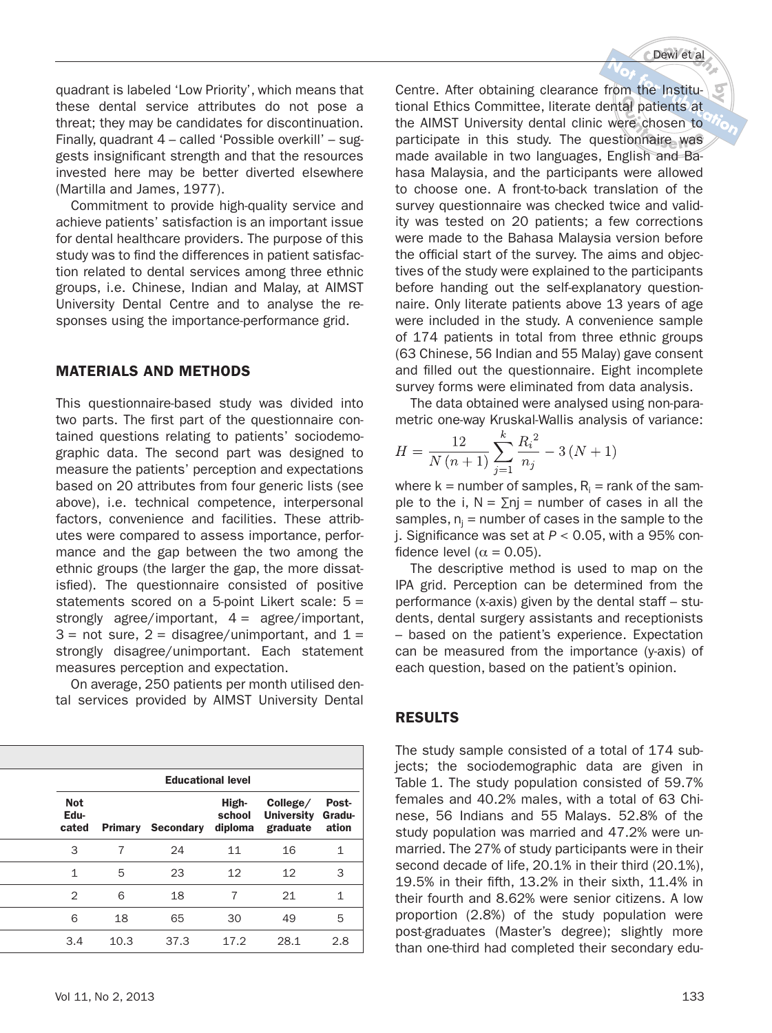Dewi et al

quadrant is labeled 'Low Priority', which means that these dental service attributes do not pose a threat; they may be candidates for discontinuation. Finally, quadrant 4 – called 'Possible overkill' – suggests insignificant strength and that the resources invested here may be better diverted elsewhere (Martilla and James, 1977).

Commitment to provide high-quality service and achieve patients' satisfaction is an important issue for dental healthcare providers. The purpose of this study was to find the differences in patient satisfaction related to dental services among three ethnic groups, i.e. Chinese, Indian and Malay, at AIMST University Dental Centre and to analyse the responses using the importance-performance grid.

## **MATERIALS AND METHODS**

This questionnaire-based study was divided into two parts. The first part of the questionnaire contained questions relating to patients' sociodemographic data. The second part was designed to measure the patients' perception and expectations based on 20 attributes from four generic lists (see above), i.e. technical competence, interpersonal factors, convenience and facilities. These attributes were compared to assess importance, performance and the gap between the two among the ethnic groups (the larger the gap, the more dissatisfied). The questionnaire consisted of positive statements scored on a 5-point Likert scale: 5 = strongly agree/important,  $4 = \text{agree/important}$ ,  $3$  = not sure,  $2$  = disagree/unimportant, and  $1$  = strongly disagree/unimportant. Each statement measures perception and expectation.

On average, 250 patients per month utilised dental services provided by AIMST University Dental

| <b>Educational level</b>    |                |           |                            |                                           |                          |  |  |  |
|-----------------------------|----------------|-----------|----------------------------|-------------------------------------------|--------------------------|--|--|--|
| <b>Not</b><br>Edu-<br>cated | <b>Primary</b> | Secondary | High-<br>school<br>diploma | College/<br><b>University</b><br>graduate | Post-<br>Gradu-<br>ation |  |  |  |
| 3                           | 7              | 24        | 11                         | 16                                        | 1                        |  |  |  |
| 1                           | 5              | 23        | 12                         | 12                                        | 3                        |  |  |  |
| $\overline{2}$              | 6              | 18        | 7                          | 21                                        | 1                        |  |  |  |
| 6                           | 18             | 65        | 30                         | 49                                        | 5                        |  |  |  |
| 3.4                         | 10.3           | 37.3      | 17.2                       | 28.1                                      | 2.8                      |  |  |  |

Centre. After obtaining clearance from the Institutional Ethics Committee, literate dental patients at the AIMST University dental clinic were chosen to participate in this study. The questionnaire was made available in two languages, English and Bahasa Malaysia, and the participants were allowed to choose one. A front-to-back translation of the survey questionnaire was checked twice and validity was tested on 20 patients; a few corrections were made to the Bahasa Malaysia version before the official start of the survey. The aims and objectives of the study were explained to the participants before handing out the self-explanatory questionnaire. Only literate patients above 13 years of age were included in the study. A convenience sample of 174 patients in total from three ethnic groups (63 Chinese, 56 Indian and 55 Malay) gave consent and filled out the questionnaire. Eight incomplete survey forms were eliminated from data analysis.

The data obtained were analysed using non-parametric one-way Kruskal-Wallis analysis of variance:

$$
H = \frac{12}{N(n+1)} \sum_{j=1}^{k} \frac{R_i^2}{n_j} - 3(N+1)
$$

where  ${\sf k}$  = number of samples,  ${\sf R}_{\sf i}$  = rank of the sample to the i,  $N = \sum nj =$  number of cases in all the samples,  $n_j$  = number of cases in the sample to the j. Significance was set at  $P < 0.05$ , with a 95% confidence level ( $\alpha = 0.05$ ).

The descriptive method is used to map on the IPA grid. Perception can be determined from the performance (x-axis) given by the dental staff – students, dental surgery assistants and receptionists – based on the patient's experience. Expectation can be measured from the importance (y-axis) of each question, based on the patient's opinion.

#### **RESULTS**

The study sample consisted of a total of 174 subjects; the sociodemographic data are given in Table 1. The study population consisted of 59.7% females and 40.2% males, with a total of 63 Chinese, 56 Indians and 55 Malays. 52.8% of the study population was married and 47.2% were unmarried. The 27% of study participants were in their second decade of life, 20.1% in their third (20.1%), 19.5% in their fifth, 13.2% in their sixth, 11.4% in their fourth and 8.62% were senior citizens. A low proportion (2.8%) of the study population were post-graduates (Master's degree); slightly more than one-third had completed their secondary edu-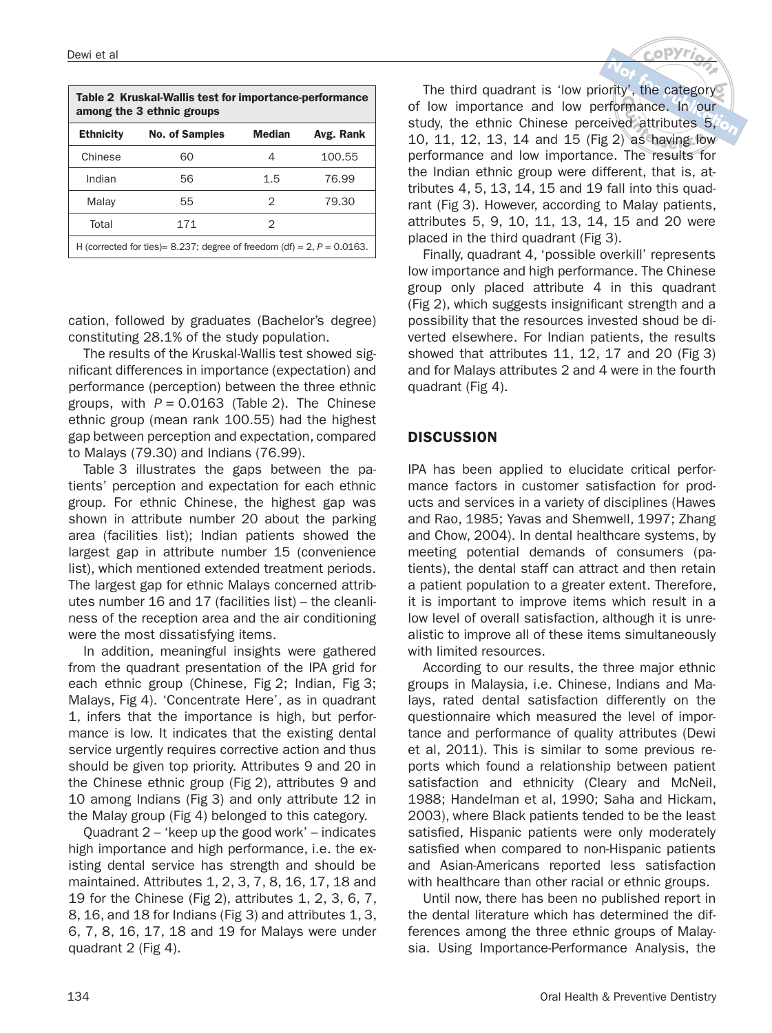| Table 2 Kruskal-Wallis test for importance-performance<br>among the 3 ethnic groups |                       |               |           |  |  |  |  |  |  |
|-------------------------------------------------------------------------------------|-----------------------|---------------|-----------|--|--|--|--|--|--|
| <b>Ethnicity</b>                                                                    | <b>No. of Samples</b> | <b>Median</b> | Avg. Rank |  |  |  |  |  |  |
| Chinese                                                                             | 60                    | 4             | 100.55    |  |  |  |  |  |  |
| Indian                                                                              | 56                    | 1.5           | 76.99     |  |  |  |  |  |  |
| Malay                                                                               | 55                    | 2             | 79.30     |  |  |  |  |  |  |
| Total<br>171<br>2                                                                   |                       |               |           |  |  |  |  |  |  |
| H (corrected for ties)= 8.237; degree of freedom (df) = 2, $P = 0.0163$ .           |                       |               |           |  |  |  |  |  |  |

cation, followed by graduates (Bachelor's degree) constituting 28.1% of the study population.

The results of the Kruskal-Wallis test showed significant differences in importance (expectation) and performance (perception) between the three ethnic groups, with  $P = 0.0163$  (Table 2). The Chinese ethnic group (mean rank 100.55) had the highest gap between perception and expectation, compared to Malays (79.30) and Indians (76.99).

Table 3 illustrates the gaps between the patients' perception and expectation for each ethnic group. For ethnic Chinese, the highest gap was shown in attribute number 20 about the parking area (facilities list); Indian patients showed the largest gap in attribute number 15 (convenience list), which mentioned extended treatment periods. The largest gap for ethnic Malays concerned attributes number 16 and 17 (facilities list) – the cleanliness of the reception area and the air conditioning were the most dissatisfying items.

In addition, meaningful insights were gathered from the quadrant presentation of the IPA grid for each ethnic group (Chinese, Fig 2; Indian, Fig 3; Malays, Fig 4). 'Concentrate Here', as in quadrant 1, infers that the importance is high, but performance is low. It indicates that the existing dental service urgently requires corrective action and thus should be given top priority. Attributes 9 and 20 in the Chinese ethnic group (Fig 2), attributes 9 and 10 among Indians (Fig 3) and only attribute 12 in the Malay group (Fig 4) belonged to this category.

Quadrant 2 – 'keep up the good work' – indicates high importance and high performance, i.e. the existing dental service has strength and should be maintained. Attributes 1, 2, 3, 7, 8, 16, 17, 18 and 19 for the Chinese (Fig 2), attributes 1, 2, 3, 6, 7, 8, 16, and 18 for Indians (Fig 3) and attributes 1, 3, 6, 7, 8, 16, 17, 18 and 19 for Malays were under quadrant 2 (Fig 4).

The third quadrant is 'low priority', the category of low importance and low performance. In our study, the ethnic Chinese perceived attributes 5, 10, 11, 12, 13, 14 and 15 (Fig 2) as having low performance and low importance. The results for the Indian ethnic group were different, that is, attributes 4, 5, 13, 14, 15 and 19 fall into this quadrant (Fig 3). However, according to Malay patients, attributes 5, 9, 10, 11, 13, 14, 15 and 20 were placed in the third quadrant (Fig 3).

Finally, quadrant 4, 'possible overkill' represents low importance and high performance. The Chinese group only placed attribute 4 in this quadrant (Fig 2), which suggests insignificant strength and a possibility that the resources invested shoud be diverted elsewhere. For Indian patients, the results showed that attributes 11, 12, 17 and 20 (Fig 3) and for Malays attributes 2 and 4 were in the fourth quadrant (Fig 4).

#### **DISCUSSION**

IPA has been applied to elucidate critical performance factors in customer satisfaction for products and services in a variety of disciplines (Hawes and Rao, 1985; Yavas and Shemwell, 1997; Zhang and Chow, 2004). In dental healthcare systems, by meeting potential demands of consumers (patients), the dental staff can attract and then retain a patient population to a greater extent. Therefore, it is important to improve items which result in a low level of overall satisfaction, although it is unrealistic to improve all of these items simultaneously with limited resources.

According to our results, the three major ethnic groups in Malaysia, i.e. Chinese, Indians and Malays, rated dental satisfaction differently on the questionnaire which measured the level of importance and performance of quality attributes (Dewi et al, 2011). This is similar to some previous reports which found a relationship between patient satisfaction and ethnicity (Cleary and McNeil, 1988; Handelman et al, 1990; Saha and Hickam, 2003), where Black patients tended to be the least satisfied, Hispanic patients were only moderately satisfied when compared to non-Hispanic patients and Asian-Americans reported less satisfaction with healthcare than other racial or ethnic groups.

Until now, there has been no published report in the dental literature which has determined the differences among the three ethnic groups of Malaysia. Using Importance-Performance Analysis, the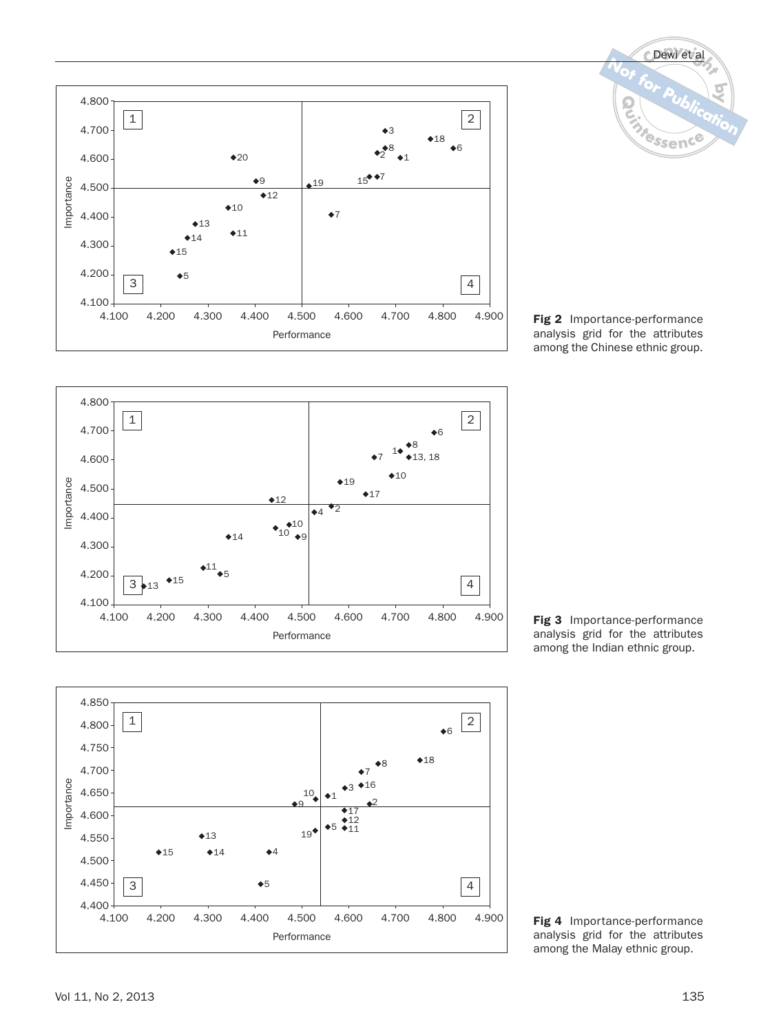



**Fig 2** Importance-performance analysis grid for the attributes among the Chinese ethnic group.



**Fig 3** Importance-performance analysis grid for the attributes among the Indian ethnic group.



**Fig 4** Importance-performance analysis grid for the attributes among the Malay ethnic group.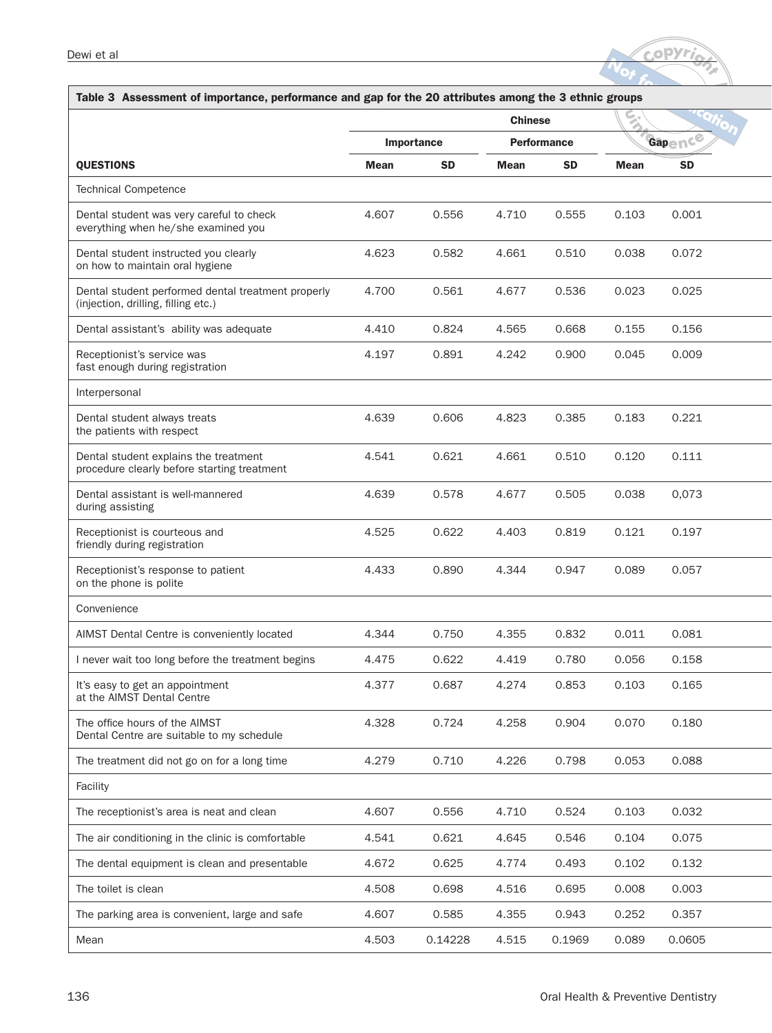

| Table 3 Assessment of importance, performance and gap for the 20 attributes among the 3 ethnic groups |             |            |                    |           |             |           |  |  |  |
|-------------------------------------------------------------------------------------------------------|-------------|------------|--------------------|-----------|-------------|-----------|--|--|--|
|                                                                                                       |             |            | <b>Chinese</b>     |           | Ø.          |           |  |  |  |
|                                                                                                       |             | Importance | <b>Performance</b> |           |             | Gapence   |  |  |  |
| <b>QUESTIONS</b>                                                                                      | <b>Mean</b> | <b>SD</b>  | <b>Mean</b>        | <b>SD</b> | <b>Mean</b> | <b>SD</b> |  |  |  |
| <b>Technical Competence</b>                                                                           |             |            |                    |           |             |           |  |  |  |
| Dental student was very careful to check<br>everything when he/she examined you                       | 4.607       | 0.556      | 4.710              | 0.555     | 0.103       | 0.001     |  |  |  |
| Dental student instructed you clearly<br>on how to maintain oral hygiene                              | 4.623       | 0.582      | 4.661              | 0.510     | 0.038       | 0.072     |  |  |  |
| Dental student performed dental treatment properly<br>(injection, drilling, filling etc.)             | 4.700       | 0.561      | 4.677              | 0.536     | 0.023       | 0.025     |  |  |  |
| Dental assistant's ability was adequate                                                               | 4.410       | 0.824      | 4.565              | 0.668     | 0.155       | 0.156     |  |  |  |
| Receptionist's service was<br>fast enough during registration                                         | 4.197       | 0.891      | 4.242              | 0.900     | 0.045       | 0.009     |  |  |  |
| Interpersonal                                                                                         |             |            |                    |           |             |           |  |  |  |
| Dental student always treats<br>the patients with respect                                             | 4.639       | 0.606      | 4.823              | 0.385     | 0.183       | 0.221     |  |  |  |
| Dental student explains the treatment<br>procedure clearly before starting treatment                  | 4.541       | 0.621      | 4.661              | 0.510     | 0.120       | 0.111     |  |  |  |
| Dental assistant is well-mannered<br>during assisting                                                 | 4.639       | 0.578      | 4.677              | 0.505     | 0.038       | 0,073     |  |  |  |
| Receptionist is courteous and<br>friendly during registration                                         | 4.525       | 0.622      | 4.403              | 0.819     | 0.121       | 0.197     |  |  |  |
| Receptionist's response to patient<br>on the phone is polite                                          | 4.433       | 0.890      | 4.344              | 0.947     | 0.089       | 0.057     |  |  |  |
| Convenience                                                                                           |             |            |                    |           |             |           |  |  |  |
| AIMST Dental Centre is conveniently located                                                           | 4.344       | 0.750      | 4.355              | 0.832     | 0.011       | 0.081     |  |  |  |
| I never wait too long before the treatment begins                                                     | 4.475       | 0.622      | 4.419              | 0.780     | 0.056       | 0.158     |  |  |  |
| It's easy to get an appointment<br>at the AIMST Dental Centre                                         | 4.377       | 0.687      | 4.274              | 0.853     | 0.103       | 0.165     |  |  |  |
| The office hours of the AIMST<br>Dental Centre are suitable to my schedule                            | 4.328       | 0.724      | 4.258              | 0.904     | 0.070       | 0.180     |  |  |  |
| The treatment did not go on for a long time                                                           | 4.279       | 0.710      | 4.226              | 0.798     | 0.053       | 0.088     |  |  |  |
| Facility                                                                                              |             |            |                    |           |             |           |  |  |  |
| The receptionist's area is neat and clean                                                             | 4.607       | 0.556      | 4.710              | 0.524     | 0.103       | 0.032     |  |  |  |
| The air conditioning in the clinic is comfortable                                                     | 4.541       | 0.621      | 4.645              | 0.546     | 0.104       | 0.075     |  |  |  |
| The dental equipment is clean and presentable                                                         | 4.672       | 0.625      | 4.774              | 0.493     | 0.102       | 0.132     |  |  |  |
| The toilet is clean                                                                                   | 4.508       | 0.698      | 4.516              | 0.695     | 0.008       | 0.003     |  |  |  |
| The parking area is convenient, large and safe                                                        | 4.607       | 0.585      | 4.355              | 0.943     | 0.252       | 0.357     |  |  |  |
| Mean                                                                                                  | 4.503       | 0.14228    | 4.515              | 0.1969    | 0.089       | 0.0605    |  |  |  |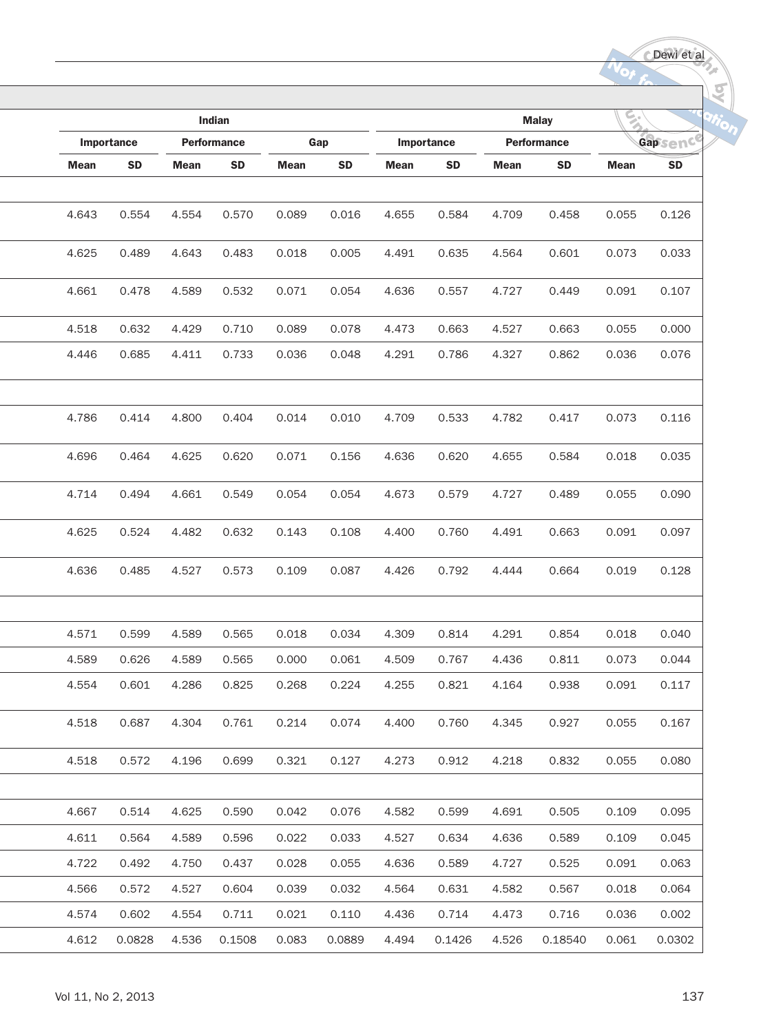Dewi et al

Kq

|             | Indian    |             |                    |             |           |             |           |                    | <b>Malay</b> |             |           |
|-------------|-----------|-------------|--------------------|-------------|-----------|-------------|-----------|--------------------|--------------|-------------|-----------|
| Importance  |           |             | <b>Performance</b> | Gap         |           | Importance  |           | <b>Performance</b> |              | $GapSend^C$ |           |
| <b>Mean</b> | <b>SD</b> | <b>Mean</b> | <b>SD</b>          | <b>Mean</b> | <b>SD</b> | <b>Mean</b> | <b>SD</b> | <b>Mean</b>        | <b>SD</b>    | <b>Mean</b> | <b>SD</b> |
|             |           |             |                    |             |           |             |           |                    |              |             |           |
| 4.643       | 0.554     | 4.554       | 0.570              | 0.089       | 0.016     | 4.655       | 0.584     | 4.709              | 0.458        | 0.055       | 0.126     |
| 4.625       | 0.489     | 4.643       | 0.483              | 0.018       | 0.005     | 4.491       | 0.635     | 4.564              | 0.601        | 0.073       | 0.033     |
| 4.661       | 0.478     | 4.589       | 0.532              | 0.071       | 0.054     | 4.636       | 0.557     | 4.727              | 0.449        | 0.091       | 0.107     |
| 4.518       | 0.632     | 4.429       | 0.710              | 0.089       | 0.078     | 4.473       | 0.663     | 4.527              | 0.663        | 0.055       | 0.000     |
| 4.446       | 0.685     | 4.411       | 0.733              | 0.036       | 0.048     | 4.291       | 0.786     | 4.327              | 0.862        | 0.036       | 0.076     |
|             |           |             |                    |             |           |             |           |                    |              |             |           |
| 4.786       | 0.414     | 4.800       | 0.404              | 0.014       | 0.010     | 4.709       | 0.533     | 4.782              | 0.417        | 0.073       | 0.116     |
| 4.696       | 0.464     | 4.625       | 0.620              | 0.071       | 0.156     | 4.636       | 0.620     | 4.655              | 0.584        | 0.018       | 0.035     |
| 4.714       | 0.494     | 4.661       | 0.549              | 0.054       | 0.054     | 4.673       | 0.579     | 4.727              | 0.489        | 0.055       | 0.090     |
| 4.625       | 0.524     | 4.482       | 0.632              | 0.143       | 0.108     | 4.400       | 0.760     | 4.491              | 0.663        | 0.091       | 0.097     |
| 4.636       | 0.485     | 4.527       | 0.573              | 0.109       | 0.087     | 4.426       | 0.792     | 4.444              | 0.664        | 0.019       | 0.128     |
|             |           |             |                    |             |           |             |           |                    |              |             |           |
| 4.571       | 0.599     | 4.589       | 0.565              | 0.018       | 0.034     | 4.309       | 0.814     | 4.291              | 0.854        | 0.018       | 0.040     |
| 4.589       | 0.626     | 4.589       | 0.565              | 0.000       | 0.061     | 4.509       | 0.767     | 4.436              | 0.811        | 0.073       | 0.044     |
| 4.554       | 0.601     | 4.286       | 0.825              | 0.268       | 0.224     | 4.255       | 0.821     | 4.164              | 0.938        | 0.091       | 0.117     |
| 4.518       | 0.687     | 4.304       | 0.761              | 0.214       | 0.074     | 4.400       | 0.760     | 4.345              | 0.927        | 0.055       | 0.167     |
| 4.518       | 0.572     | 4.196       | 0.699              | 0.321       | 0.127     | 4.273       | 0.912     | 4.218              | 0.832        | 0.055       | 0.080     |
|             |           |             |                    |             |           |             |           |                    |              |             |           |
| 4.667       | 0.514     | 4.625       | 0.590              | 0.042       | 0.076     | 4.582       | 0.599     | 4.691              | 0.505        | 0.109       | 0.095     |
| 4.611       | 0.564     | 4.589       | 0.596              | 0.022       | 0.033     | 4.527       | 0.634     | 4.636              | 0.589        | 0.109       | 0.045     |
| 4.722       | 0.492     | 4.750       | 0.437              | 0.028       | 0.055     | 4.636       | 0.589     | 4.727              | 0.525        | 0.091       | 0.063     |
| 4.566       | 0.572     | 4.527       | 0.604              | 0.039       | 0.032     | 4.564       | 0.631     | 4.582              | 0.567        | 0.018       | 0.064     |
| 4.574       | 0.602     | 4.554       | 0.711              | 0.021       | 0.110     | 4.436       | 0.714     | 4.473              | 0.716        | 0.036       | 0.002     |
| 4.612       | 0.0828    | 4.536       | 0.1508             | 0.083       | 0.0889    | 4.494       | 0.1426    | 4.526              | 0.18540      | 0.061       | 0.0302    |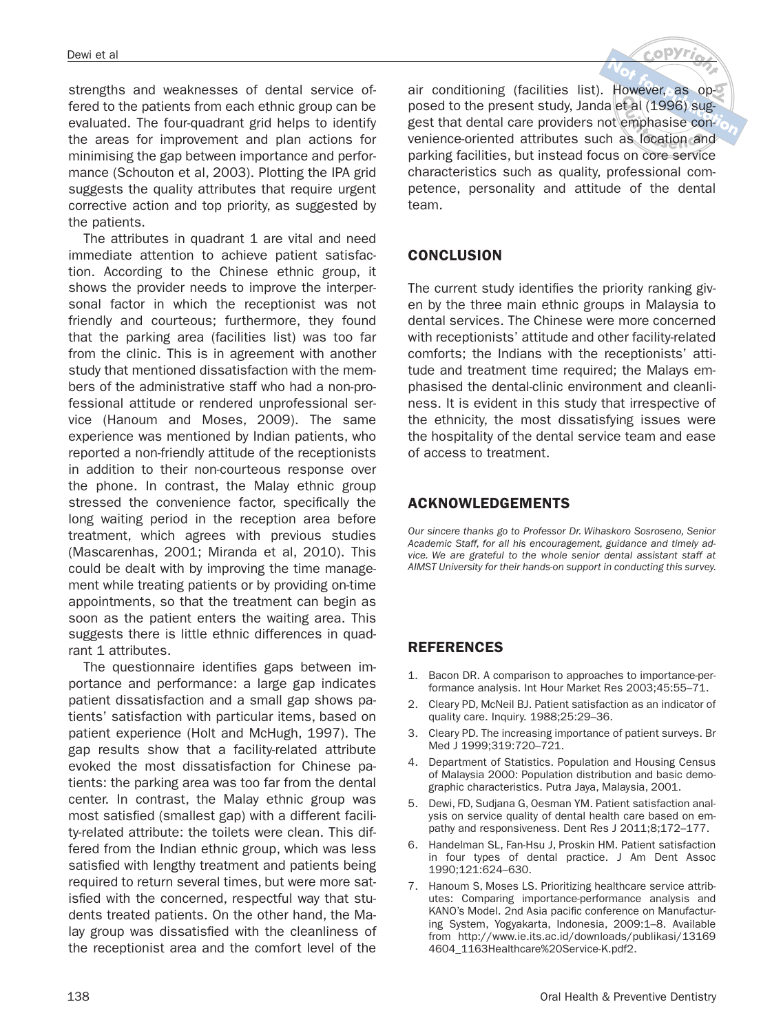strengths and weaknesses of dental service offered to the patients from each ethnic group can be evaluated. The four-quadrant grid helps to identify the areas for improvement and plan actions for minimising the gap between importance and performance (Schouton et al, 2003). Plotting the IPA grid suggests the quality attributes that require urgent corrective action and top priority, as suggested by the patients.

The attributes in quadrant 1 are vital and need immediate attention to achieve patient satisfaction. According to the Chinese ethnic group, it shows the provider needs to improve the interpersonal factor in which the receptionist was not friendly and courteous; furthermore, they found that the parking area (facilities list) was too far from the clinic. This is in agreement with another study that mentioned dissatisfaction with the members of the administrative staff who had a non-professional attitude or rendered unprofessional service (Hanoum and Moses, 2009). The same experience was mentioned by Indian patients, who reported a non-friendly attitude of the receptionists in addition to their non-courteous response over the phone. In contrast, the Malay ethnic group stressed the convenience factor, specifically the long waiting period in the reception area before treatment, which agrees with previous studies (Mascarenhas, 2001; Miranda et al, 2010). This could be dealt with by improving the time management while treating patients or by providing on-time appointments, so that the treatment can begin as soon as the patient enters the waiting area. This suggests there is little ethnic differences in quadrant 1 attributes.

The questionnaire identifies gaps between importance and performance: a large gap indicates patient dissatisfaction and a small gap shows patients' satisfaction with particular items, based on patient experience (Holt and McHugh, 1997). The gap results show that a facility-related attribute evoked the most dissatisfaction for Chinese patients: the parking area was too far from the dental center. In contrast, the Malay ethnic group was most satisfied (smallest gap) with a different facility-related attribute: the toilets were clean. This differed from the Indian ethnic group, which was less satisfied with lengthy treatment and patients being required to return several times, but were more satisfied with the concerned, respectful way that students treated patients. On the other hand, the Malay group was dissatisfied with the cleanliness of the receptionist area and the comfort level of the

air conditioning (facilities list). However, as opposed to the present study, Janda et al (1996) suggest that dental care providers not emphasise convenience-oriented attributes such as location and parking facilities, but instead focus on core service characteristics such as quality, professional competence, personality and attitude of the dental team.

#### **CONCLUSION**

The current study identifies the priority ranking given by the three main ethnic groups in Malaysia to dental services. The Chinese were more concerned with receptionists' attitude and other facility-related comforts; the Indians with the receptionists' attitude and treatment time required; the Malays emphasised the dental-clinic environment and cleanliness. It is evident in this study that irrespective of the ethnicity, the most dissatisfying issues were the hospitality of the dental service team and ease of access to treatment.

#### **ACKNOWLEDGEMENTS**

Our sincere thanks go to Professor Dr. Wihaskoro Sosroseno, Senior Academic Staff, for all his encouragement, guidance and timely advice. We are grateful to the whole senior dental assistant staff at AIMST University for their hands-on support in conducting this survey.

### **REFERENCES**

- 1. Bacon DR. A comparison to approaches to importance-performance analysis. Int Hour Market Res 2003;45:55–71.
- 2. Cleary PD, McNeil BJ. Patient satisfaction as an indicator of quality care. Inquiry. 1988;25:29–36.
- 3. Cleary PD. The increasing importance of patient surveys. Br Med J 1999;319:720–721.
- 4. Department of Statistics. Population and Housing Census of Malaysia 2000: Population distribution and basic demographic characteristics. Putra Jaya, Malaysia, 2001.
- 5. Dewi, FD, Sudjana G, Oesman YM. Patient satisfaction analysis on service quality of dental health care based on empathy and responsiveness. Dent Res J 2011;8;172–177.
- 6. Handelman SL, Fan-Hsu J, Proskin HM. Patient satisfaction in four types of dental practice. J Am Dent Assoc 1990;121:624–630.
- 7. Hanoum S, Moses LS. Prioritizing healthcare service attributes: Comparing importance-performance analysis and KANO's Model. 2nd Asia pacific conference on Manufacturing System, Yogyakarta, Indonesia, 2009:1–8. Available from http://www.ie.its.ac.id/downloads/publikasi/13169 4604\_1163Healthcare%20Service-K.pdf2.